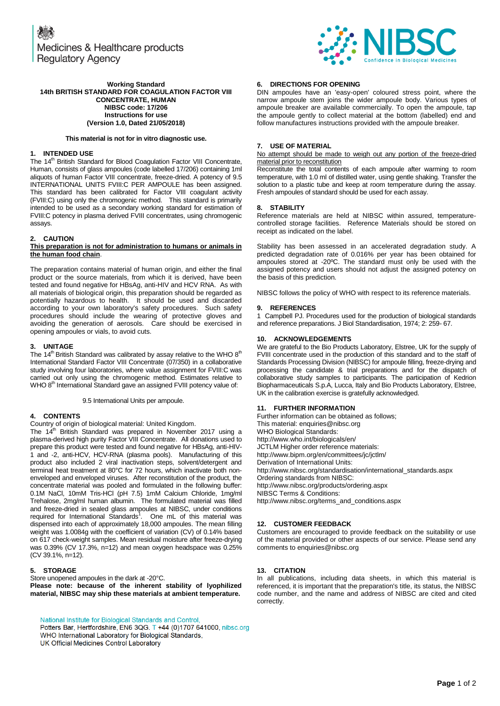Medicines & Healthcare products **Regulatory Agency** 



### **Working Standard 14th BRITISH STANDARD FOR COAGULATION FACTOR VIII CONCENTRATE, HUMAN NIBSC code: 17/206 Instructions for use (Version 1.0, Dated 21/05/2018)**

#### **This material is not for in vitro diagnostic use.**

## **1. INTENDED USE**

The 14<sup>th</sup> British Standard for Blood Coagulation Factor VIII Concentrate, Human, consists of glass ampoules (code labelled 17/206) containing 1ml aliquots of human Factor VIII concentrate, freeze-dried. A potency of 9.5 INTERNATIONAL UNITS FVIII:C PER AMPOULE has been assigned. This standard has been calibrated for Factor VIII coagulant activity (FVIII:C) using only the chromogenic method. This standard is primarily intended to be used as a secondary working standard for estimation of FVIII:C potency in plasma derived FVIII concentrates, using chromogenic assays.

# **2. CAUTION**

#### **This preparation is not for administration to humans or animals in the human food chain**.

The preparation contains material of human origin, and either the final product or the source materials, from which it is derived, have been tested and found negative for HBsAg, anti-HIV and HCV RNA. As with all materials of biological origin, this preparation should be regarded as potentially hazardous to health. It should be used and discarded according to your own laboratory's safety procedures. Such safety procedures should include the wearing of protective gloves and avoiding the generation of aerosols. Care should be exercised in opening ampoules or vials, to avoid cuts.

## **3. UNITAGE**

The 14<sup>th</sup> British Standard was calibrated by assay relative to the WHO  $8<sup>th</sup>$ International Standard Factor VIII Concentrate (07/350) in a collaborative study involving four laboratories, where value assignment for FVIII:C was carried out only using the chromogenic method. Estimates relative to WHO 8<sup>th</sup> International Standard gave an assigned FVIII potency value of:

9.5 International Units per ampoule.

# **4. CONTENTS**

Country of origin of biological material: United Kingdom.

The 14<sup>th</sup> British Standard was prepared in November 2017 using a plasma-derived high purity Factor VIII Concentrate. All donations used to prepare this product were tested and found negative for HBsAg, anti-HIV-1 and -2, anti-HCV, HCV-RNA (plasma pools). Manufacturing of this product also included 2 viral inactivation steps, solvent/detergent and terminal heat treatment at 80°C for 72 hours, which inactivate both nonenveloped and enveloped viruses. After reconstitution of the product, the concentrate material was pooled and formulated in the following buffer: 0.1M NaCl, 10mM Tris-HCl (pH 7.5) 1mM Calcium Chloride, 1mg/ml Trehalose, 2mg/ml human albumin. The formulated material was filled and freeze-dried in sealed glass ampoules at NIBSC, under conditions<br>required for International Standards<sup>1</sup>. One mL of this material was dispensed into each of approximately 18,000 ampoules. The mean filling weight was 1.0084g with the coefficient of variation (CV) of 0.14% based on 617 check-weight samples. Mean residual moisture after freeze-drying was 0.39% (CV 17.3%, n=12) and mean oxygen headspace was 0.25% (CV 39.1%, n=12).

## **5. STORAGE**

Store unopened ampoules in the dark at -20°C. **Please note: because of the inherent stability of lyophilized material, NIBSC may ship these materials at ambient temperature.**

National Institute for Biological Standards and Control, Potters Bar, Hertfordshire, EN6 3QG. T +44 (0)1707 641000, nibsc.org WHO International Laboratory for Biological Standards, UK Official Medicines Control Laboratory

# **6. DIRECTIONS FOR OPENING**

DIN ampoules have an 'easy-open' coloured stress point, where the narrow ampoule stem joins the wider ampoule body. Various types of ampoule breaker are available commercially. To open the ampoule, tap the ampoule gently to collect material at the bottom (labelled) end and follow manufactures instructions provided with the ampoule breaker.

## **7. USE OF MATERIAL**

No attempt should be made to weigh out any portion of the freeze-dried material prior to reconstitution

Reconstitute the total contents of each ampoule after warming to room temperature, with 1.0 ml of distilled water, using gentle shaking. Transfer the solution to a plastic tube and keep at room temperature during the assay. Fresh ampoules of standard should be used for each assay.

#### **8. STABILITY**

Reference materials are held at NIBSC within assured, temperaturecontrolled storage facilities. Reference Materials should be stored on receipt as indicated on the label.

Stability has been assessed in an accelerated degradation study. A predicted degradation rate of 0.016% per year has been obtained for ampoules stored at -20ºC. The standard must only be used with the assigned potency and users should not adjust the assigned potency on the basis of this prediction.

NIBSC follows the policy of WHO with respect to its reference materials.

## **9. REFERENCES**

1 Campbell PJ. Procedures used for the production of biological standards and reference preparations. J Biol Standardisation, 1974; 2: 259- 67.

### **10. ACKNOWLEDGEMENTS**

We are grateful to the Bio Products Laboratory, Elstree, UK for the supply of FVIII concentrate used in the production of this standard and to the staff of Standards Processing Division (NIBSC) for ampoule filling, freeze-drying and processing the candidate & trial preparations and for the dispatch of collaborative study samples to participants. The participation of Kedrion Biopharmaceuticals S.p.A, Lucca, Italy and Bio Products Laboratory, Elstree, UK in the calibration exercise is gratefully acknowledged.

## **11. FURTHER INFORMATION**

Further information can be obtained as follows; This material[: enquiries@nibsc.org](mailto:enquiries@nibsc.org) WHO Biological Standards: <http://www.who.int/biologicals/en/> JCTLM Higher order reference materials: <http://www.bipm.org/en/committees/jc/jctlm/> Derivation of International Units: [http://www.nibsc.org/standardisation/international\\_standards.aspx](http://www.nibsc.org/standardisation/international_standards.aspx) Ordering standards from NIBSC: <http://www.nibsc.org/products/ordering.aspx> NIBSC Terms & Conditions: [http://www.nibsc.org/terms\\_and\\_conditions.aspx](http://www.nibsc.ac.uk/terms_and_conditions.aspx)

## **12. CUSTOMER FEEDBACK**

Customers are encouraged to provide feedback on the suitability or use of the material provided or other aspects of our service. Please send any comments t[o enquiries@nibsc.org](mailto:enquiries@nibsc.org)

#### **13. CITATION**

In all publications, including data sheets, in which this material is referenced, it is important that the preparation's title, its status, the NIBSC code number, and the name and address of NIBSC are cited and cited correctly.